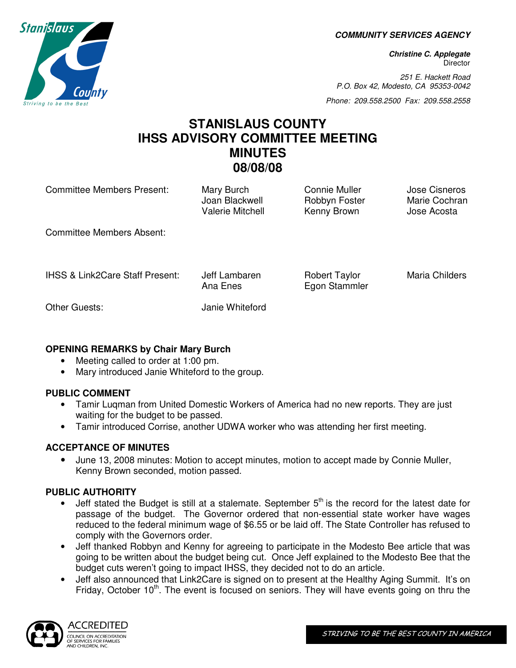**COMMUNITY SERVICES AGENCY** 

**Christine C. Applegate Director** 

251 E. Hackett Road P.O. Box 42, Modesto, CA 95353-0042

Phone: 209.558.2500 Fax: 209.558.2558

# **STANISLAUS COUNTY IHSS ADVISORY COMMITTEE MEETING MINUTES 08/08/08**

Committee Members Present: Mary Burch Connie Muller Jose Cisneros

Joan Blackwell Robbyn Foster Marie Cochran Valerie Mitchell Kenny Brown Jose Acosta

Committee Members Absent:

IHSS & Link2Care Staff Present: Jeff Lambaren Robert Taylor Maria Childers

Ana Enes Egon Stammler

Other Guests: Janie Whiteford

# **OPENING REMARKS by Chair Mary Burch**

- Meeting called to order at 1:00 pm.
- Mary introduced Janie Whiteford to the group.

# **PUBLIC COMMENT**

- Tamir Luqman from United Domestic Workers of America had no new reports. They are just waiting for the budget to be passed.
- Tamir introduced Corrise, another UDWA worker who was attending her first meeting.

# **ACCEPTANCE OF MINUTES**

• June 13, 2008 minutes: Motion to accept minutes, motion to accept made by Connie Muller, Kenny Brown seconded, motion passed.

# **PUBLIC AUTHORITY**

- Jeff stated the Budget is still at a stalemate. September  $5<sup>th</sup>$  is the record for the latest date for passage of the budget. The Governor ordered that non-essential state worker have wages reduced to the federal minimum wage of \$6.55 or be laid off. The State Controller has refused to comply with the Governors order.
- Jeff thanked Robbyn and Kenny for agreeing to participate in the Modesto Bee article that was going to be written about the budget being cut. Once Jeff explained to the Modesto Bee that the budget cuts weren't going to impact IHSS, they decided not to do an article.
- Jeff also announced that Link2Care is signed on to present at the Healthy Aging Summit. It's on Friday, October  $10<sup>th</sup>$ . The event is focused on seniors. They will have events going on thru the



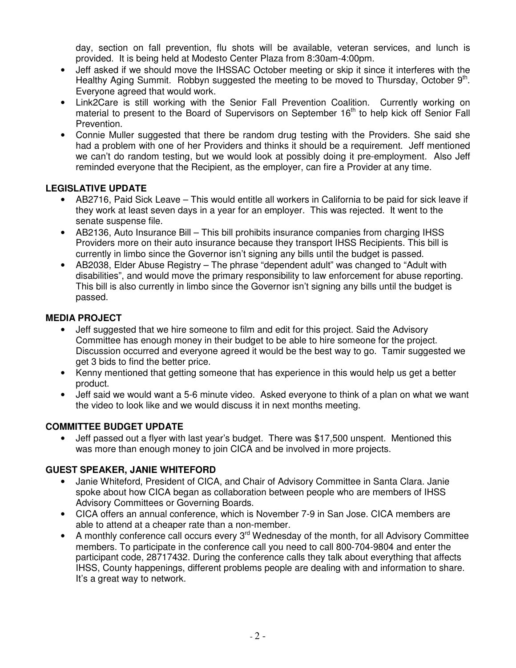day, section on fall prevention, flu shots will be available, veteran services, and lunch is provided. It is being held at Modesto Center Plaza from 8:30am-4:00pm.

- Jeff asked if we should move the IHSSAC October meeting or skip it since it interferes with the Healthy Aging Summit. Robbyn suggested the meeting to be moved to Thursday, October  $9<sup>th</sup>$ . Everyone agreed that would work.
- Link2Care is still working with the Senior Fall Prevention Coalition. Currently working on material to present to the Board of Supervisors on September 16<sup>th</sup> to help kick off Senior Fall Prevention.
- Connie Muller suggested that there be random drug testing with the Providers. She said she had a problem with one of her Providers and thinks it should be a requirement. Jeff mentioned we can't do random testing, but we would look at possibly doing it pre-employment. Also Jeff reminded everyone that the Recipient, as the employer, can fire a Provider at any time.

#### **LEGISLATIVE UPDATE**

- AB2716, Paid Sick Leave This would entitle all workers in California to be paid for sick leave if they work at least seven days in a year for an employer. This was rejected. It went to the senate suspense file.
- AB2136, Auto Insurance Bill This bill prohibits insurance companies from charging IHSS Providers more on their auto insurance because they transport IHSS Recipients. This bill is currently in limbo since the Governor isn't signing any bills until the budget is passed.
- AB2038, Elder Abuse Registry The phrase "dependent adult" was changed to "Adult with disabilities", and would move the primary responsibility to law enforcement for abuse reporting. This bill is also currently in limbo since the Governor isn't signing any bills until the budget is passed.

#### **MEDIA PROJECT**

- Jeff suggested that we hire someone to film and edit for this project. Said the Advisory Committee has enough money in their budget to be able to hire someone for the project. Discussion occurred and everyone agreed it would be the best way to go. Tamir suggested we get 3 bids to find the better price.
- Kenny mentioned that getting someone that has experience in this would help us get a better product.
- Jeff said we would want a 5-6 minute video. Asked everyone to think of a plan on what we want the video to look like and we would discuss it in next months meeting.

#### **COMMITTEE BUDGET UPDATE**

• Jeff passed out a flyer with last year's budget. There was \$17,500 unspent. Mentioned this was more than enough money to join CICA and be involved in more projects.

#### **GUEST SPEAKER, JANIE WHITEFORD**

- Janie Whiteford, President of CICA, and Chair of Advisory Committee in Santa Clara. Janie spoke about how CICA began as collaboration between people who are members of IHSS Advisory Committees or Governing Boards.
- CICA offers an annual conference, which is November 7-9 in San Jose. CICA members are able to attend at a cheaper rate than a non-member.
- A monthly conference call occurs every 3<sup>rd</sup> Wednesday of the month, for all Advisory Committee members. To participate in the conference call you need to call 800-704-9804 and enter the participant code, 28717432. During the conference calls they talk about everything that affects IHSS, County happenings, different problems people are dealing with and information to share. It's a great way to network.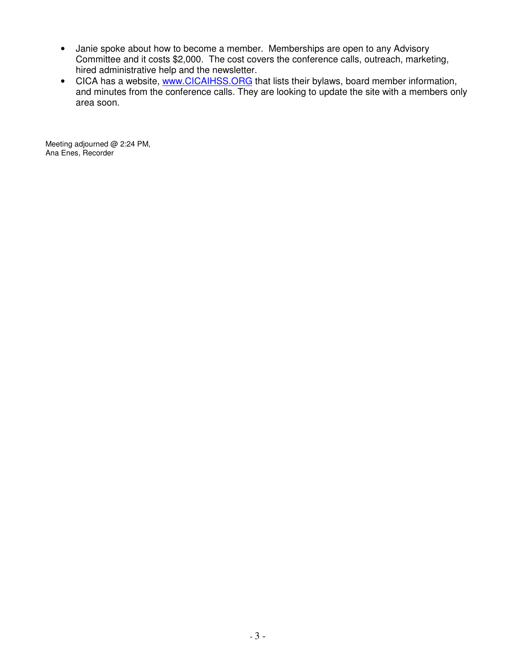- Janie spoke about how to become a member. Memberships are open to any Advisory Committee and it costs \$2,000. The cost covers the conference calls, outreach, marketing, hired administrative help and the newsletter.
- CICA has a website, www.CICAIHSS.ORG that lists their bylaws, board member information, and minutes from the conference calls. They are looking to update the site with a members only area soon.

Meeting adjourned @ 2:24 PM, Ana Enes, Recorder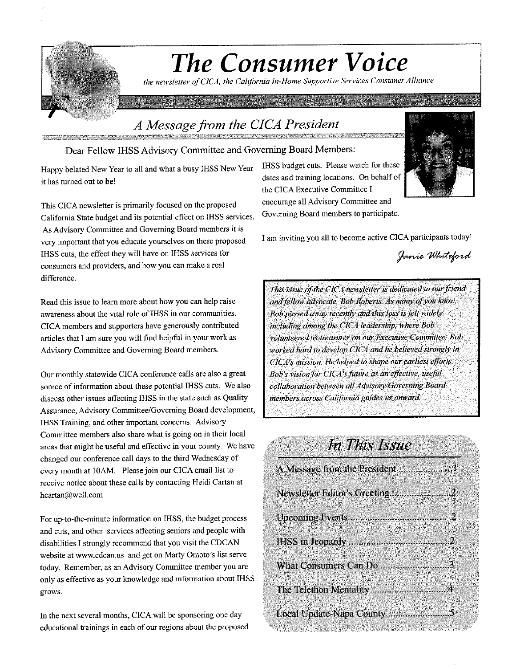

the newsletter of CICA, the California In-Home Supportive Services Consumer Alliance

# A Message from the CICA President

#### Dear Fellow IHSS Advisory Committee and Governing Board Members:

Happy belated New Year to all and what a busy IHSS New Year it has turned out to be!

This CICA newsletter is primarily focused on the proposed California State budget and its potential effect on IHSS services. As Advisory Committee and Governing Board members it is very important that you educate yourselves on these proposed IHSS cuts, the effect they will have on IHSS services for consumers and providers, and how you can make a real difference.

Read this issue to learn more about how you can help raise awareness about the vital role of IHSS in our communities. CICA members and supporters have generously contributed articles that I am sure you will find helpful in your work as Advisory Committee and Governing Board members.

Our monthly statewide CICA conference calls are also a great source of information about these potential IHSS cuts. We also discuss other issues affecting IHSS in the state such as Quality Assurance, Advisory Committee/Governing Board development, IHSS Training, and other important concerns. Advisory Committee members also share what is going on in their local areas that might be useful and effective in your county. We have changed our conference call days to the third Wednesday of every month at 10AM. Please join our CICA email list to receive notice about these calls by contacting Heidi Cartan at hcartan@well.com

For up-to-the-minute information on IHSS, the budget process and cuts, and other services affecting seniors and people with disabilities I strongly recommend that you visit the CDCAN website at www.cdcan.us and get on Marty Omoto's list serve today. Remember, as an Advisory Committee member you are only as effective as your knowledge and information about IHSS grows.

In the next several months, CICA will be sponsoring one day educational trainings in each of our regions about the proposed IHSS budget cuts. Please watch for these dates and training locations. On behalf of the CICA Executive Committee I encourage all Advisory Committee and Governing Board members to participate.



Janie Whiteford

This issue of the CICA newsletter is dedicated to our friend and fellow advocate, Bob Roberts. As many of you know, Bob passed away recently and this loss is felt widely. including among the CICA leadership, where Bob volunteered as treasurer on our Executive Committee. Bob worked hard to develop CICA and he believed strongly in CICA's mission. He helped to shape our earliest efforts. Bob's vision for CICA's future as an effective, useful collaboration between all Advisory/Governing Board members across California guides us onward.

# In This Issue

| Newsletter Editor's Greeting2 |
|-------------------------------|
|                               |
|                               |
| What Consumers Can Do 3       |
| The Telethon Mentality 4      |
| Local Update-Napa County 5    |

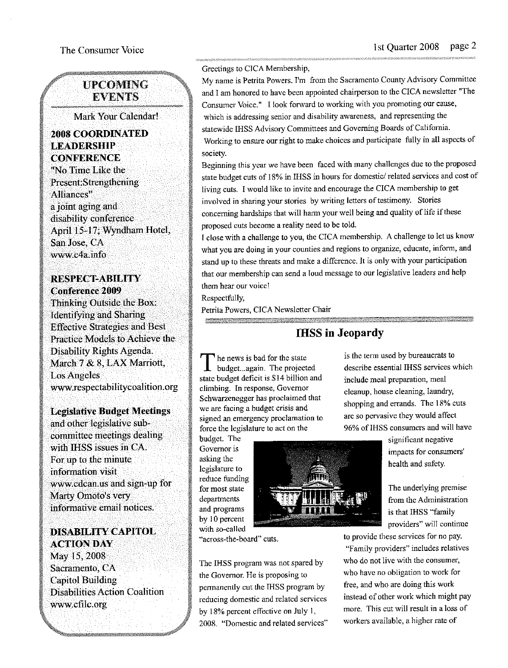#### **UPCOMING EVENTS**

Mark Your Calendar!

#### **2008 COORDINATED LEADERSHIP CONFERENCE**

"No Time Like the Present:Strengthening Alliances" a joint aging and disability conference April 15-17; Wyndham Hotel, San Jose, CA www.c4a.info

#### **RESPECT-ABILITY Conference 2009**

Thinking Outside the Box: **Identifying and Sharing Effective Strategies and Best** Practice Models to Achieve the Disability Rights Agenda. March 7 & 8, LAX Marriott, **Los Angeles** www.respectabilitycoalition.org

#### **Legislative Budget Meetings**

and other legislative subcommittee meetings dealing with IHSS issues in CA. For up to the minute information visit www.cdcan.us and sign-up for Marty Omoto's very informative email notices.

# **DISABILITY CAPITOL ACTION DAY**

May 15, 2008 Sacramento, CA **Capitol Building Disabilities Action Coalition** www.cfilc.org

#### Greetings to CICA Membership,

My name is Petrita Powers. I'm from the Sacramento County Advisory Committee and I am honored to have been appointed chairperson to the CICA newsletter "The Consumer Voice." I look forward to working with you promoting our cause, which is addressing senior and disability awareness, and representing the statewide IHSS Advisory Committees and Governing Boards of California. Working to ensure our right to make choices and participate fully in all aspects of society.

Beginning this year we have been faced with many challenges due to the proposed state budget cuts of 18% in IHSS in hours for domestic/related services and cost of living cuts. I would like to invite and encourage the CICA membership to get involved in sharing your stories by writing letters of testimony. Stories concerning hardships that will harm your well being and quality of life if these proposed cuts become a reality need to be told.

I close with a challenge to you, the CICA membership. A challenge to let us know what you are doing in your counties and regions to organize, educate, inform, and stand up to these threats and make a difference. It is only with your participation that our membership can send a loud message to our legislative leaders and help them hear our voice!

Respectfully,

Petrita Powers, CICA Newsletter Chair

### **IHSS** in Jeopardy

he news is bad for the state  $\mathbf 1$  budget...again. The projected state budget deficit is \$14 billion and climbing. In response, Governor Schwarzenegger has proclaimed that we are facing a budget crisis and signed an emergency proclamation to force the legislature to act on the

budget. The Governor is asking the legislature to reduce funding for most state departments and programs by 10 percent with so-called



"across-the-board" cuts.

The IHSS program was not spared by the Governor. He is proposing to permanently cut the IHSS program by reducing domestic and related services by 18% percent effective on July 1, 2008. "Domestic and related services"

is the term used by bureaucrats to describe essential IHSS services which include meal preparation, meal cleanup, house cleaning, laundry, shopping and errands. The 18% cuts are so pervasive they would affect 96% of IHSS consumers and will have

> significant negative impacts for consumers' health and safety.

The underlying premise from the Administration is that IHSS "family providers" will continue

to provide these services for no pay.

"Family providers" includes relatives who do not live with the consumer, who have no obligation to work for free, and who are doing this work instead of other work which might pay more. This cut will result in a loss of workers available, a higher rate of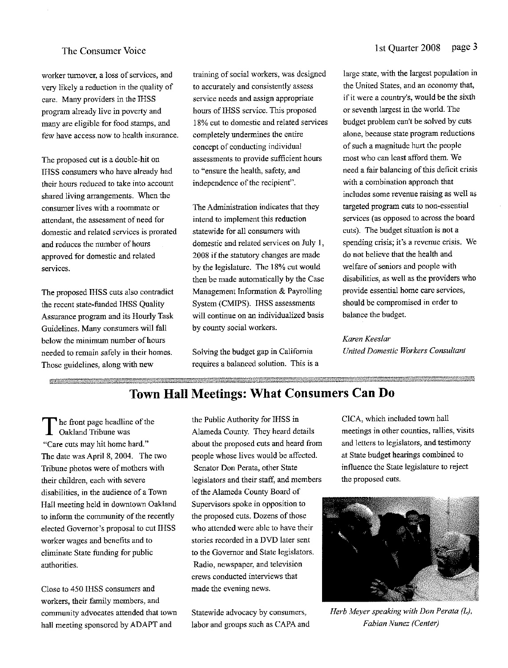worker turnover, a loss of services, and very likely a reduction in the quality of care. Many providers in the IHSS program already live in poverty and many are eligible for food stamps, and few have access now to health insurance.

The proposed cut is a double-hit on IHSS consumers who have already had their hours reduced to take into account shared living arrangements. When the consumer lives with a roommate or attendant, the assessment of need for domestic and related services is prorated and reduces the number of hours approved for domestic and related services.

The proposed IHSS cuts also contradict the recent state-funded IHSS Quality Assurance program and its Hourly Task Guidelines. Many consumers will fall below the minimum number of hours needed to remain safely in their homes. Those guidelines, along with new

training of social workers, was designed to accurately and consistently assess service needs and assign appropriate hours of IHSS service. This proposed 18% cut to domestic and related services completely undermines the entire concept of conducting individual assessments to provide sufficient hours to "ensure the health, safety, and independence of the recipient".

The Administration indicates that they intend to implement this reduction statewide for all consumers with domestic and related services on July 1, 2008 if the statutory changes are made by the legislature. The 18% cut would then be made automatically by the Case Management Information & Payrolling System (CMIPS). IHSS assessments will continue on an individualized basis by county social workers.

Solving the budget gap in California requires a balanced solution. This is a large state, with the largest population in the United States, and an economy that, if it were a country's, would be the sixth or seventh largest in the world. The budget problem can't be solved by cuts alone, because state program reductions of such a magnitude hurt the people most who can least afford them. We need a fair balancing of this deficit crisis with a combination approach that includes some revenue raising as well as targeted program cuts to non-essential services (as opposed to across the board cuts). The budget situation is not a spending crisis; it's a revenue crisis. We do not believe that the health and welfare of seniors and people with disabilities, as well as the providers who provide essential home care services, should be compromised in order to balance the budget.

## Karen Keeslar

United Domestic Workers Consultant

# **Town Hall Meetings: What Consumers Can Do**

The front page headline of the<br>Oakland Tribune was "Care cuts may hit home hard." The date was April 8, 2004. The two Tribune photos were of mothers with their children, each with severe disabilities, in the audience of a Town Hall meeting held in downtown Oakland to inform the community of the recently elected Governor's proposal to cut IHSS worker wages and benefits and to eliminate State funding for public authorities.

Close to 450 IHSS consumers and workers, their family members, and community advocates attended that town hall meeting sponsored by ADAPT and

the Public Authority for IHSS in Alameda County. They heard details about the proposed cuts and heard from people whose lives would be affected. Senator Don Perata, other State legislators and their staff, and members of the Alameda County Board of Supervisors spoke in opposition to the proposed cuts. Dozens of those who attended were able to have their stories recorded in a DVD later sent to the Governor and State legislators. Radio, newspaper, and television crews conducted interviews that made the evening news.

Statewide advocacy by consumers, labor and groups such as CAPA and CICA, which included town hall meetings in other counties, rallies, visits and letters to legislators, and testimony at State budget hearings combined to influence the State legislature to reject the proposed cuts.



Herb Meyer speaking with Don Perata (L), Fabian Nunez (Center)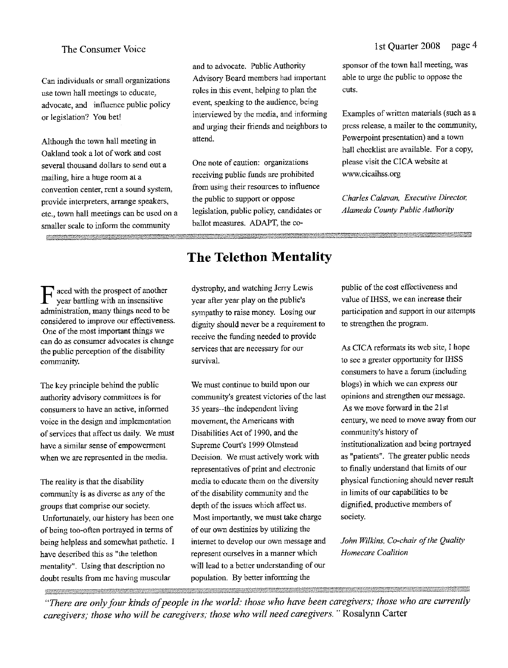Can individuals or small organizations use town hall meetings to educate, advocate, and influence public policy or legislation? You bet!

Although the town hall meeting in Oakland took a lot of work and cost several thousand dollars to send out a mailing, hire a huge room at a convention center, rent a sound system, provide interpreters, arrange speakers, etc., town hall meetings can be used on a smaller scale to inform the community

and to advocate. Public Authority Advisory Board members had important roles in this event, helping to plan the event, speaking to the audience, being interviewed by the media, and informing and urging their friends and neighbors to attend.

One note of caution: organizations receiving public funds are prohibited from using their resources to influence the public to support or oppose legislation, public policy, candidates or ballot measures. ADAPT, the co-

#### page 4 1st Ouarter 2008

sponsor of the town hall meeting, was able to urge the public to oppose the cuts.

Examples of written materials (such as a press release, a mailer to the community, Powerpoint presentation) and a town hall checklist are available. For a copy, please visit the CICA website at www.cicaihss.org

Charles Calavan, Executive Director, Alameda County Public Authority

aced with the prospect of another year battling with an insensitive administration, many things need to be considered to improve our effectiveness. One of the most important things we can do as consumer advocates is change the public perception of the disability community.

The key principle behind the public authority advisory committees is for consumers to have an active, informed voice in the design and implementation of services that affect us daily. We must have a similar sense of empowerment when we are represented in the media.

The reality is that the disability community is as diverse as any of the groups that comprise our society. Unfortunately, our history has been one of being too-often portrayed in terms of being helpless and somewhat pathetic. I have described this as "the telethon mentality". Using that description no doubt results from me having muscular

# **The Telethon Mentality**

dystrophy, and watching Jerry Lewis year after year play on the public's sympathy to raise money. Losing our dignity should never be a requirement to receive the funding needed to provide services that are necessary for our survival.

We must continue to build upon our community's greatest victories of the last 35 years--the independent living movement, the Americans with Disabilities Act of 1990, and the Supreme Court's 1999 Olmstead Decision. We must actively work with representatives of print and electronic media to educate them on the diversity of the disability community and the depth of the issues which affect us. Most importantly, we must take charge of our own destinies by utilizing the internet to develop our own message and represent ourselves in a manner which will lead to a better understanding of our population. By better informing the

public of the cost effectiveness and value of IHSS, we can increase their participation and support in our attempts to strengthen the program.

As CICA reformats its web site. I hope to see a greater opportunity for IHSS consumers to have a forum (including blogs) in which we can express our opinions and strengthen our message. As we move forward in the 21st century, we need to move away from our community's history of institutionalization and being portrayed as "patients". The greater public needs to finally understand that limits of our physical functioning should never result in limits of our capabilities to be dignified, productive members of society.

John Wilkins, Co-chair of the Quality Homecare Coalition

"There are only four kinds of people in the world: those who have been caregivers; those who are currently caregivers; those who will be caregivers; those who will need caregivers." Rosalynn Carter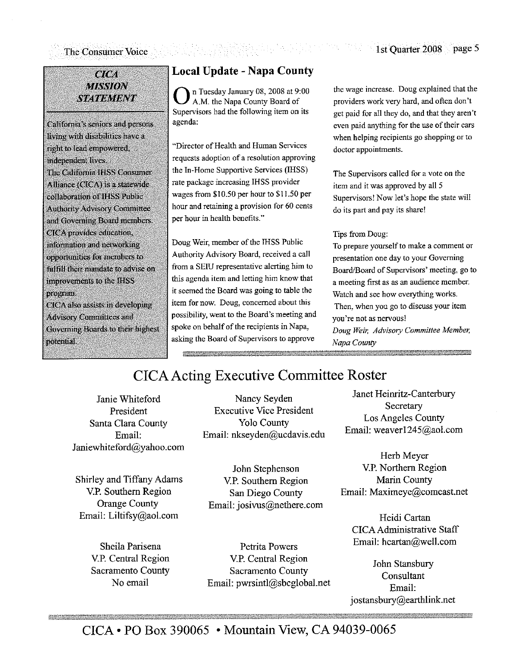#### **CTCA MISSION STATEMENT**

California's seniors and persons living with disabilities have a right to lead empowered, independent lives. The California IHSS Consumer Alliance (CICA) is a statewide collaboration of IHSS Public **Authority Advisory Committee** and Governing Board members. CICA provides education, information and networking opportunities for members to fulfill their mandate to advise on improvements to the IHSS program. CICA also assists in developing **Advisory Committees and** Governing Boards to their highest

potential.

# **Local Update - Napa County**

n Tuesday January 08, 2008 at 9:00 A.M. the Napa County Board of Supervisors had the following item on its agenda:

"Director of Health and Human Services requests adoption of a resolution approving the In-Home Supportive Services (IHSS) rate package increasing IHSS provider wages from \$10.50 per hour to \$11.50 per hour and retaining a provision for 60 cents ner hour in health benefits."

Doug Weir, member of the IHSS Public Authority Advisory Board, received a call from a SEIU representative alerting him to this agenda item and letting him know that it seemed the Board was going to table the item for now. Doug, concerned about this possibility, went to the Board's meeting and spoke on behalf of the recipients in Napa, asking the Board of Supervisors to approve

the wage increase. Doug explained that the providers work very hard, and often don't get paid for all they do, and that they aren't even paid anything for the use of their cars when helping recipients go shopping or to doctor appointments.

The Supervisors called for a vote on the item and it was approved by all 5 Supervisors! Now let's hope the state will do its part and pay its share!

Tips from Doug:

To prepare yourself to make a comment or presentation one day to your Governing Board/Board of Supervisors' meeting, go to a meeting first as as an audience member. Watch and see how everything works. Then, when you go to discuss your item you're not as nervous! Doug Weir, Advisory Committee Member, Napa County

# **CICA Acting Executive Committee Roster**

Janie Whiteford President Santa Clara County Email: Janiewhiteford@yahoo.com

Shirley and Tiffany Adams V.P. Southern Region **Orange County** Email: Liltifsy@aol.com

> Sheila Parisena V.P. Central Region Sacramento County No email

Nancy Seyden **Executive Vice President Yolo County** Email: nkseyden@ucdavis.edu

John Stephenson V.P. Southern Region San Diego County Email: josivus@nethere.com

Petrita Powers V.P. Central Region Sacramento County Email: pwrsintl@sbcglobal.net

Janet Heinritz-Canterbury Secretary **Los Angeles County** Email: weaver1245@aol.com

Herb Meyer V.P. Northern Region Marin County Email: Maximeye@comcast.net

Heidi Cartan CICA Administrative Staff Email: hcartan@well.com

John Stansbury Consultant Email: jostansbury@earthlink.net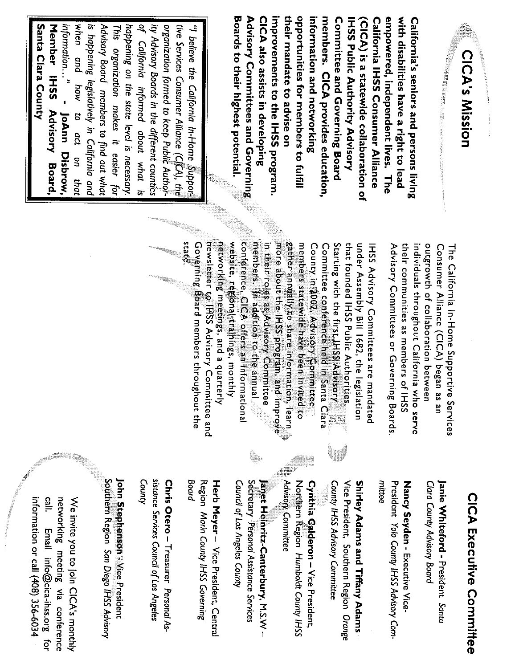

**Boards to their highest potential** Advisory Committees and Governing CICA also assists in developing improvements to the IHSS program. their mandate to advise on opportunities for members to fulfill members. CICA provides education, Committee and Governing Board empowered, independent lives. The information and networking **IHSS Public Authority Advisory California IHSS Consumer Alliance** with disabilities have a right to lead California's seniors and persons living (CICA) is a statewide collaboration of

Santa Clara County ity Advisory Boards in the different counties Member IHSS Advisory Board, when and how to act on that is happening legislatively in California and Advisory Board members to find out what happening on the state level is necessary. of California informed about what is organization formed to keep Public Authortive Services Consumer Alliance (C[CA), the " believe the California In-Home Support information..." This organization makes it easier for - Jobnn Uisprow,

> Advisory Committees or Governing Boards their communities as members of IHSS individuals throughout California who serve outgrowth of collaboration between Consumer Alliance (CICA) began as an The California In-Home Supportive Services

networking meetings, and a quarterly<br>inewsletter to IHSS Advisory Committee and conference, CICA offers an informational Governing Board members throughout the website, regional trainings, monthly members. In addition to the annual gather annually to share information, learn state in their roles as Advisory Committee more about the IHSS program, and improve members statewide have been invited to Starting with the first IHSS Advisory that founded IHSS Public Authorities. County in 2002, Advisory Committee Committee conference held in Santa Clara under Assembly Bill 1682, the legislation IHSS Advisory Committees are mandated

# **CICA Executive Committee**

Clara County Advisory Board Janie Whiteford - President Santa

mittee President Yolo County IHSS Advisory Com-Nancy Seyden - Executive Vice-

County IHSS Advisory Committee Vice President, Southern Region Orange Shirley Adams and Tiffany Adams-

Advisory Committee Cynthia Calderon - Vice President, Northern Region Humboldt County IHSS

Council of Los Angeles County Secretary Personal Assistance Services Janet Heinritz-Canterbury, M.S.W -

Board Region Marin County IHSS Governing Herb Meyer - Vice President, Central

County sistance Services Council of Los Angeles Chris Otero - Treasurer Personal As-

Southern Region San Diego IHSS Advisory John Stephenson Vice President

call. networking meeting via conference information or call (408) 356-6034 We invite you to join CICA's monthly Email info@cica-ihss.org for